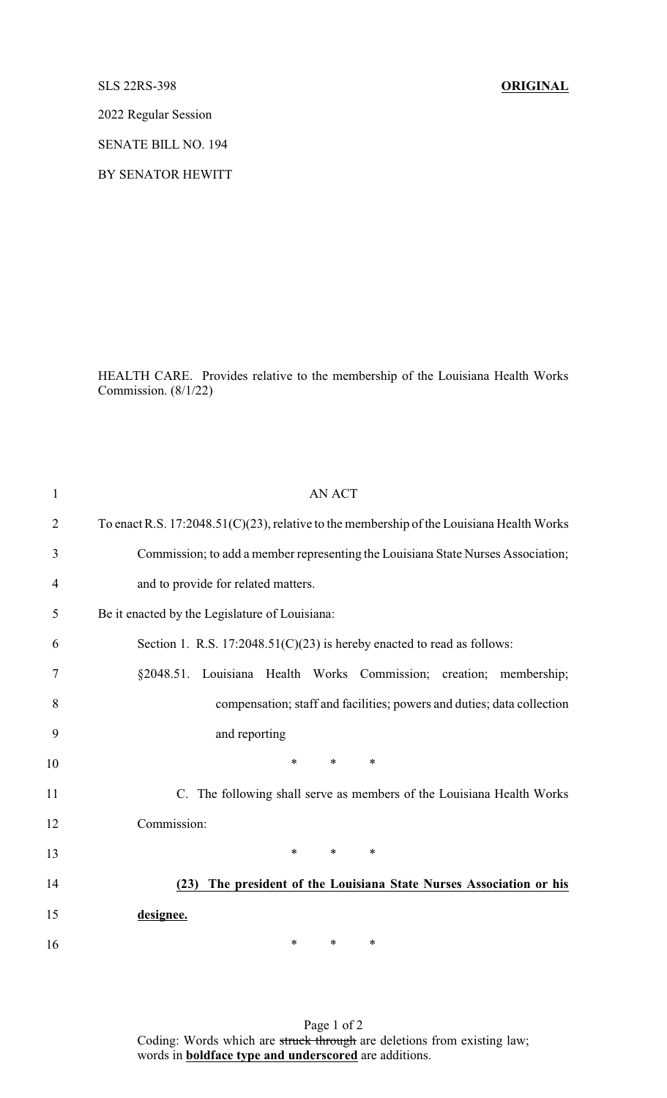SLS 22RS-398 **ORIGINAL**

2022 Regular Session

SENATE BILL NO. 194

BY SENATOR HEWITT

HEALTH CARE. Provides relative to the membership of the Louisiana Health Works Commission. (8/1/22)

| $\mathbf{1}$   | <b>AN ACT</b>                                                                             |
|----------------|-------------------------------------------------------------------------------------------|
| $\overline{2}$ | To enact R.S. 17:2048.51(C)(23), relative to the membership of the Louisiana Health Works |
| 3              | Commission; to add a member representing the Louisiana State Nurses Association;          |
| $\overline{4}$ | and to provide for related matters.                                                       |
| 5              | Be it enacted by the Legislature of Louisiana:                                            |
| 6              | Section 1. R.S. $17:2048.51(C)(23)$ is hereby enacted to read as follows:                 |
| 7              | §2048.51. Louisiana Health Works Commission;<br>creation; membership;                     |
| 8              | compensation; staff and facilities; powers and duties; data collection                    |
| 9              | and reporting                                                                             |
| 10             | $\ast$<br>∗<br>∗                                                                          |
| 11             | C. The following shall serve as members of the Louisiana Health Works                     |
| 12             | Commission:                                                                               |
| 13             | $\ast$<br>$\ast$<br>$\ast$                                                                |
| 14             | The president of the Louisiana State Nurses Association or his<br>(23)                    |
| 15             | designee.                                                                                 |
| 16             | $\ast$<br>$\ast$<br>∗                                                                     |

Page 1 of 2 Coding: Words which are struck through are deletions from existing law; words in **boldface type and underscored** are additions.